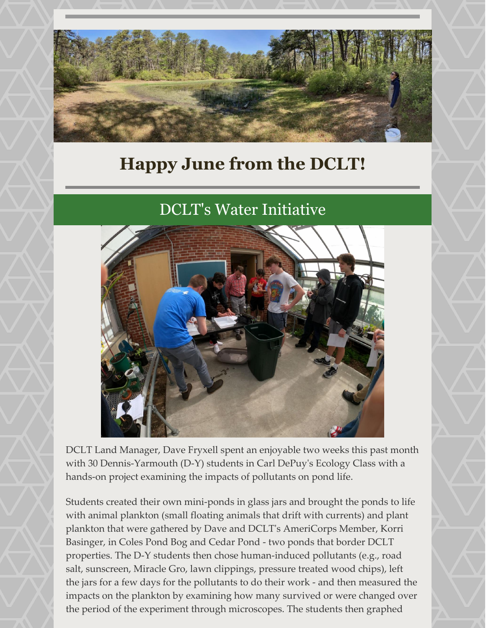

## **Happy June from the DCLT!**

## DCLT's Water Initiative



DCLT Land Manager, Dave Fryxell spent an enjoyable two weeks this past month with 30 Dennis-Yarmouth (D-Y) students in Carl DePuy's Ecology Class with a hands-on project examining the impacts of pollutants on pond life.

Students created their own mini-ponds in glass jars and brought the ponds to life with animal plankton (small floating animals that drift with currents) and plant plankton that were gathered by Dave and DCLT's AmeriCorps Member, Korri Basinger, in Coles Pond Bog and Cedar Pond - two ponds that border DCLT properties. The D-Y students then chose human-induced pollutants (e.g., road salt, sunscreen, Miracle Gro, lawn clippings, pressure treated wood chips), left the jars for a few days for the pollutants to do their work - and then measured the impacts on the plankton by examining how many survived or were changed over the period of the experiment through microscopes. The students then graphed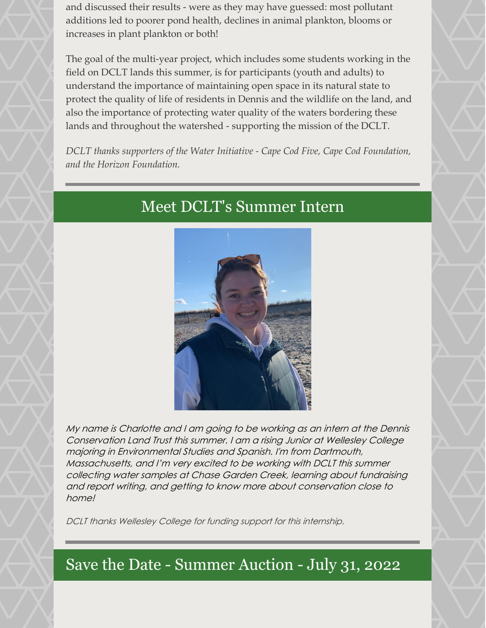and discussed their results - were as they may have guessed: most pollutant additions led to poorer pond health, declines in animal plankton, blooms or increases in plant plankton or both!

The goal of the multi-year project, which includes some students working in the field on DCLT lands this summer, is for participants (youth and adults) to understand the importance of maintaining open space in its natural state to protect the quality of life of residents in Dennis and the wildlife on the land, and also the importance of protecting water quality of the waters bordering these lands and throughout the watershed - supporting the mission of the DCLT.

*DCLT thanks supporters of the Water Initiative - Cape Cod Five, Cape Cod Foundation, and the Horizon Foundation.*

## Meet DCLT's Summer Intern



My name is Charlotte and I am going to be working as an intern at the Dennis Conservation Land Trust this summer. I am <sup>a</sup> rising Junior at Wellesley College majoring in Environmental Studies and Spanish. I'm from Dartmouth, Massachusetts, and I'm very excited to be working with DCLT this summer collecting water samples at Chase Garden Creek, learning about fundraising and report writing, and getting to know more about conservation close to home!

DCLT thanks Wellesley College for funding support for this internship.

## Save the Date - Summer Auction - July 31, 2022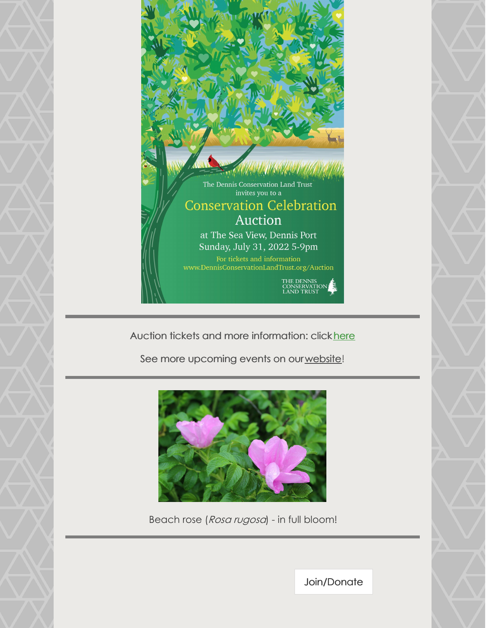

Auction tickets and more information: click [here](https://dennisconservationlandtrust.org/auction/)

See more upcoming events on our [website](https://dennisconservationlandtrust.org/events/)!

![](_page_2_Picture_3.jpeg)

Beach rose (Rosa rugosa) - in full bloom!

[Join/Donate](https://dennisconservationlandtrust.org/donate-to-dct/)